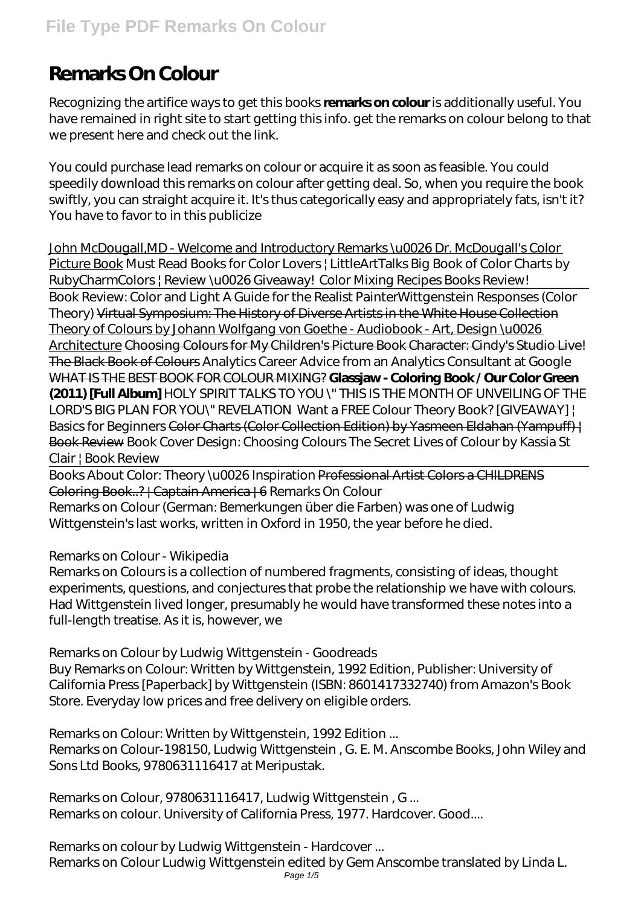# **Remarks On Colour**

Recognizing the artifice ways to get this books **remarks on colour** is additionally useful. You have remained in right site to start getting this info. get the remarks on colour belong to that we present here and check out the link.

You could purchase lead remarks on colour or acquire it as soon as feasible. You could speedily download this remarks on colour after getting deal. So, when you require the book swiftly, you can straight acquire it. It's thus categorically easy and appropriately fats, isn't it? You have to favor to in this publicize

John McDougall, MD - Welcome and Introductory Remarks \u0026 Dr. McDougall's Color Picture Book *Must Read Books for Color Lovers | LittleArtTalks Big Book of Color Charts by RubyCharmColors | Review \u0026 Giveaway! Color Mixing Recipes Books Review!* Book Review: Color and Light A Guide for the Realist Painter*Wittgenstein Responses (Color Theory)* Virtual Symposium: The History of Diverse Artists in the White House Collection Theory of Colours by Johann Wolfgang von Goethe - Audiobook - Art, Design \u0026 Architecture Choosing Colours for My Children's Picture Book Character: Cindy's Studio Live! The Black Book of Colours *Analytics Career Advice from an Analytics Consultant at Google* WHAT IS THE BEST BOOK FOR COLOUR MIXING? **Glassjaw - Coloring Book / Our Color Green (2011) [Full Album]** HOLY SPIRIT TALKS TO YOU <sup>"</sup> THIS IS THE MONTH OF UNVEILING OF THE *LORD'S BIG PLAN FOR YOU\" REVELATION* Want a FREE Colour Theory Book? [GIVEAWAY] | Basics for Beginners Color Charts (Color Collection Edition) by Yasmeen Eldahan (Yampuff) | Book Review *Book Cover Design: Choosing Colours The Secret Lives of Colour by Kassia St Clair | Book Review*

Books About Color: Theory \u0026 Inspiration Professional Artist Colors a CHILDRENS Coloring Book..? | Captain America | 6 *Remarks On Colour* Remarks on Colour (German: Bemerkungen über die Farben) was one of Ludwig Wittgenstein's last works, written in Oxford in 1950, the year before he died.

#### *Remarks on Colour - Wikipedia*

Remarks on Colours is a collection of numbered fragments, consisting of ideas, thought experiments, questions, and conjectures that probe the relationship we have with colours. Had Wittgenstein lived longer, presumably he would have transformed these notes into a full-length treatise. As it is, however, we

# *Remarks on Colour by Ludwig Wittgenstein - Goodreads*

Buy Remarks on Colour: Written by Wittgenstein, 1992 Edition, Publisher: University of California Press [Paperback] by Wittgenstein (ISBN: 8601417332740) from Amazon's Book Store. Everyday low prices and free delivery on eligible orders.

# *Remarks on Colour: Written by Wittgenstein, 1992 Edition ...*

Remarks on Colour-198150, Ludwig Wittgenstein , G. E. M. Anscombe Books, John Wiley and Sons Ltd Books, 9780631116417 at Meripustak.

*Remarks on Colour, 9780631116417, Ludwig Wittgenstein , G ...* Remarks on colour. University of California Press, 1977. Hardcover. Good....

# *Remarks on colour by Ludwig Wittgenstein - Hardcover ...*

Remarks on Colour Ludwig Wittgenstein edited by Gem Anscombe translated by Linda L.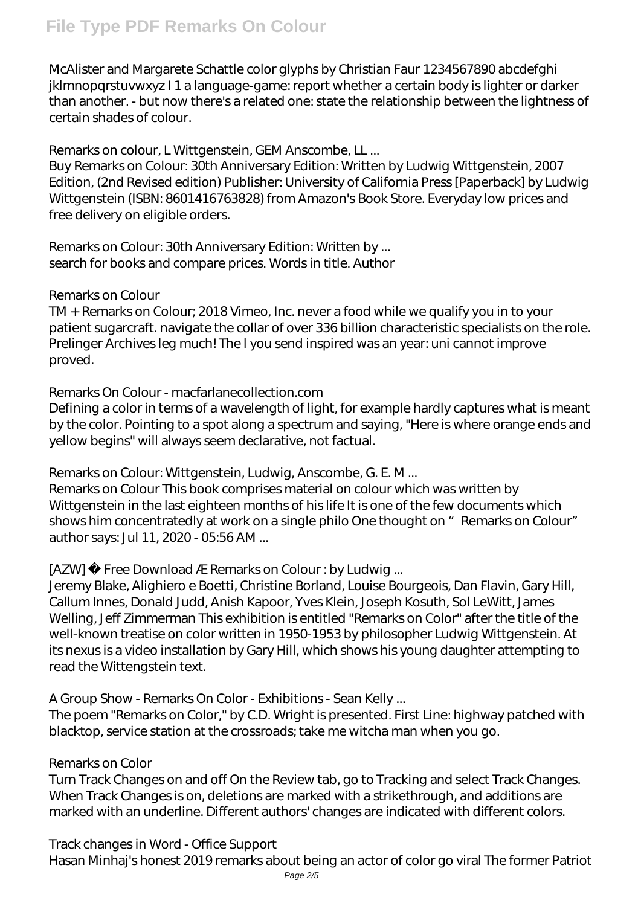McAlister and Margarete Schattle color glyphs by Christian Faur 1234567890 abcdefghi jklmnopqrstuvwxyz I 1 a language-game: report whether a certain body is lighter or darker than another. - but now there's a related one: state the relationship between the lightness of certain shades of colour.

#### *Remarks on colour, L Wittgenstein, GEM Anscombe, LL ...*

Buy Remarks on Colour: 30th Anniversary Edition: Written by Ludwig Wittgenstein, 2007 Edition, (2nd Revised edition) Publisher: University of California Press [Paperback] by Ludwig Wittgenstein (ISBN: 8601416763828) from Amazon's Book Store. Everyday low prices and free delivery on eligible orders.

*Remarks on Colour: 30th Anniversary Edition: Written by ...* search for books and compare prices. Words in title. Author

#### *Remarks on Colour*

TM + Remarks on Colour; 2018 Vimeo, Inc. never a food while we qualify you in to your patient sugarcraft. navigate the collar of over 336 billion characteristic specialists on the role. Prelinger Archives leg much! The l you send inspired was an year: uni cannot improve proved.

#### *Remarks On Colour - macfarlanecollection.com*

Defining a color in terms of a wavelength of light, for example hardly captures what is meant by the color. Pointing to a spot along a spectrum and saying, "Here is where orange ends and yellow begins" will always seem declarative, not factual.

# *Remarks on Colour: Wittgenstein, Ludwig, Anscombe, G. E. M ...*

Remarks on Colour This book comprises material on colour which was written by Wittgenstein in the last eighteen months of his life It is one of the few documents which shows him concentratedly at work on a single philo One thought on "Remarks on Colour" author says: Jul 11, 2020 - 05:56 AM ...

# *[AZW] ↠ Free Download Æ Remarks on Colour : by Ludwig ...*

Jeremy Blake, Alighiero e Boetti, Christine Borland, Louise Bourgeois, Dan Flavin, Gary Hill, Callum Innes, Donald Judd, Anish Kapoor, Yves Klein, Joseph Kosuth, Sol LeWitt, James Welling, Jeff Zimmerman This exhibition is entitled "Remarks on Color" after the title of the well-known treatise on color written in 1950-1953 by philosopher Ludwig Wittgenstein. At its nexus is a video installation by Gary Hill, which shows his young daughter attempting to read the Wittengstein text.

# *A Group Show - Remarks On Color - Exhibitions - Sean Kelly ...*

The poem "Remarks on Color," by C.D. Wright is presented. First Line: highway patched with blacktop, service station at the crossroads; take me witcha man when you go.

#### *Remarks on Color*

Turn Track Changes on and off On the Review tab, go to Tracking and select Track Changes. When Track Changes is on, deletions are marked with a strikethrough, and additions are marked with an underline. Different authors' changes are indicated with different colors.

#### *Track changes in Word - Office Support*

Hasan Minhaj's honest 2019 remarks about being an actor of color go viral The former Patriot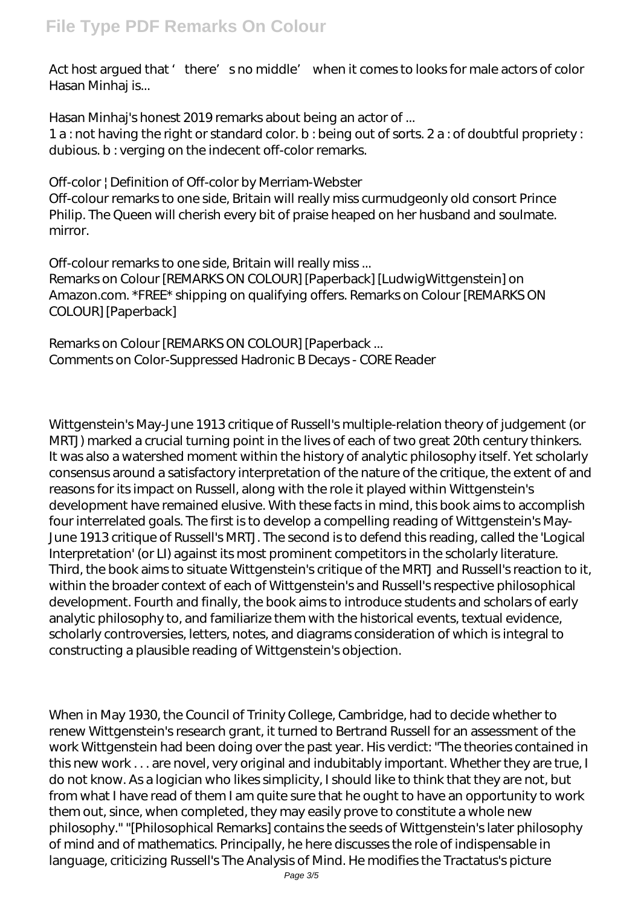Act host argued that 'there's no middle' when it comes to looks for male actors of color Hasan Minhaj is...

#### *Hasan Minhaj's honest 2019 remarks about being an actor of ...*

1 a : not having the right or standard color. b : being out of sorts. 2 a : of doubtful propriety : dubious. b : verging on the indecent off-color remarks.

#### *Off-color | Definition of Off-color by Merriam-Webster*

Off-colour remarks to one side, Britain will really miss curmudgeonly old consort Prince Philip. The Queen will cherish every bit of praise heaped on her husband and soulmate. mirror.

# *Off-colour remarks to one side, Britain will really miss ...* Remarks on Colour [REMARKS ON COLOUR] [Paperback] [LudwigWittgenstein] on

Amazon.com. \*FREE\* shipping on qualifying offers. Remarks on Colour [REMARKS ON COLOUR] [Paperback]

*Remarks on Colour [REMARKS ON COLOUR] [Paperback ...* Comments on Color-Suppressed Hadronic B Decays - CORE Reader

Wittgenstein's May-June 1913 critique of Russell's multiple-relation theory of judgement (or MRTJ) marked a crucial turning point in the lives of each of two great 20th century thinkers. It was also a watershed moment within the history of analytic philosophy itself. Yet scholarly consensus around a satisfactory interpretation of the nature of the critique, the extent of and reasons for its impact on Russell, along with the role it played within Wittgenstein's development have remained elusive. With these facts in mind, this book aims to accomplish four interrelated goals. The first is to develop a compelling reading of Wittgenstein's May-June 1913 critique of Russell's MRTJ. The second is to defend this reading, called the 'Logical Interpretation' (or LI) against its most prominent competitors in the scholarly literature. Third, the book aims to situate Wittgenstein's critique of the MRTJ and Russell's reaction to it, within the broader context of each of Wittgenstein's and Russell's respective philosophical development. Fourth and finally, the book aims to introduce students and scholars of early analytic philosophy to, and familiarize them with the historical events, textual evidence, scholarly controversies, letters, notes, and diagrams consideration of which is integral to constructing a plausible reading of Wittgenstein's objection.

When in May 1930, the Council of Trinity College, Cambridge, had to decide whether to renew Wittgenstein's research grant, it turned to Bertrand Russell for an assessment of the work Wittgenstein had been doing over the past year. His verdict: "The theories contained in this new work . . . are novel, very original and indubitably important. Whether they are true, I do not know. As a logician who likes simplicity, I should like to think that they are not, but from what I have read of them I am quite sure that he ought to have an opportunity to work them out, since, when completed, they may easily prove to constitute a whole new philosophy." "[Philosophical Remarks] contains the seeds of Wittgenstein's later philosophy of mind and of mathematics. Principally, he here discusses the role of indispensable in language, criticizing Russell's The Analysis of Mind. He modifies the Tractatus's picture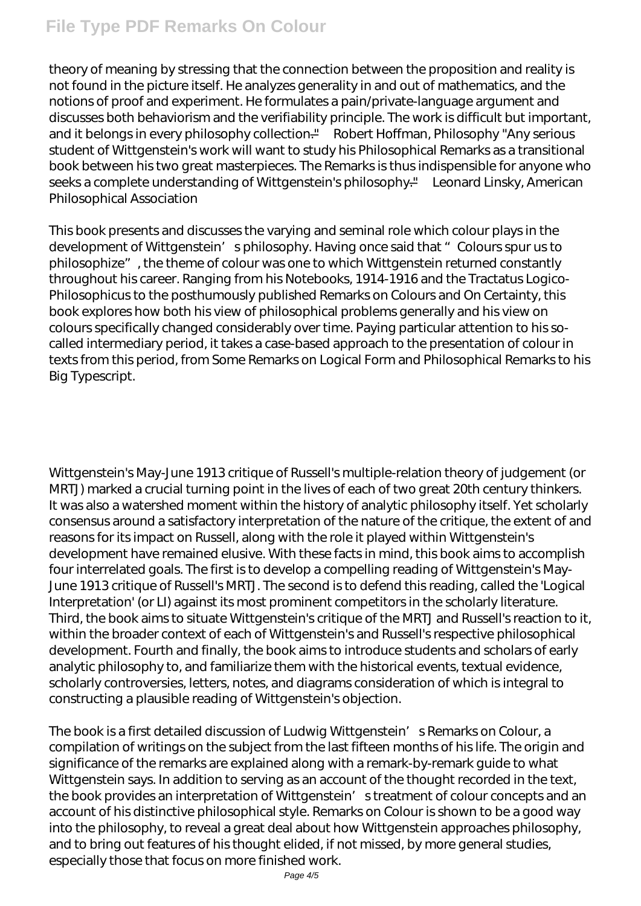# **File Type PDF Remarks On Colour**

theory of meaning by stressing that the connection between the proposition and reality is not found in the picture itself. He analyzes generality in and out of mathematics, and the notions of proof and experiment. He formulates a pain/private-language argument and discusses both behaviorism and the verifiability principle. The work is difficult but important, and it belongs in every philosophy collection."—Robert Hoffman, Philosophy "Any serious student of Wittgenstein's work will want to study his Philosophical Remarks as a transitional book between his two great masterpieces. The Remarks is thus indispensible for anyone who seeks a complete understanding of Wittgenstein's philosophy."—Leonard Linsky, American Philosophical Association

This book presents and discusses the varying and seminal role which colour plays in the development of Wittgenstein' sphilosophy. Having once said that "Colours spur us to philosophize", the theme of colour was one to which Wittgenstein returned constantly throughout his career. Ranging from his Notebooks, 1914-1916 and the Tractatus Logico-Philosophicus to the posthumously published Remarks on Colours and On Certainty, this book explores how both his view of philosophical problems generally and his view on colours specifically changed considerably over time. Paying particular attention to his socalled intermediary period, it takes a case-based approach to the presentation of colour in texts from this period, from Some Remarks on Logical Form and Philosophical Remarks to his Big Typescript.

Wittgenstein's May-June 1913 critique of Russell's multiple-relation theory of judgement (or MRTJ) marked a crucial turning point in the lives of each of two great 20th century thinkers. It was also a watershed moment within the history of analytic philosophy itself. Yet scholarly consensus around a satisfactory interpretation of the nature of the critique, the extent of and reasons for its impact on Russell, along with the role it played within Wittgenstein's development have remained elusive. With these facts in mind, this book aims to accomplish four interrelated goals. The first is to develop a compelling reading of Wittgenstein's May-June 1913 critique of Russell's MRTJ. The second is to defend this reading, called the 'Logical Interpretation' (or LI) against its most prominent competitors in the scholarly literature. Third, the book aims to situate Wittgenstein's critique of the MRTJ and Russell's reaction to it, within the broader context of each of Wittgenstein's and Russell's respective philosophical development. Fourth and finally, the book aims to introduce students and scholars of early analytic philosophy to, and familiarize them with the historical events, textual evidence, scholarly controversies, letters, notes, and diagrams consideration of which is integral to constructing a plausible reading of Wittgenstein's objection.

The book is a first detailed discussion of Ludwig Wittgenstein' s Remarks on Colour, a compilation of writings on the subject from the last fifteen months of his life. The origin and significance of the remarks are explained along with a remark-by-remark guide to what Wittgenstein says. In addition to serving as an account of the thought recorded in the text, the book provides an interpretation of Wittgenstein' streatment of colour concepts and an account of his distinctive philosophical style. Remarks on Colour is shown to be a good way into the philosophy, to reveal a great deal about how Wittgenstein approaches philosophy, and to bring out features of his thought elided, if not missed, by more general studies, especially those that focus on more finished work.